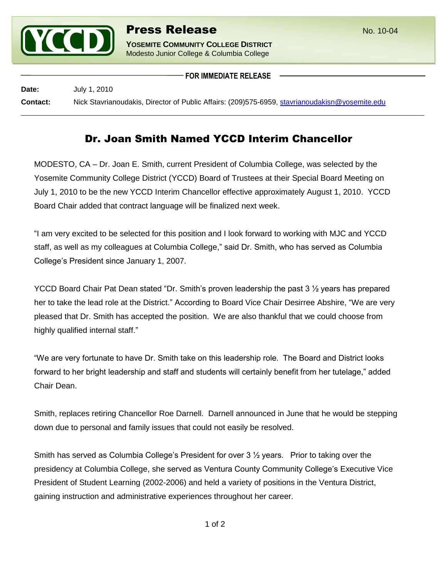

Modesto Junior College & Columbia College

**FOR IMMEDIATE RELEASE**

**Date:** July 1, 2010 **Contact:** Nick Stavrianoudakis, Director of Public Affairs: (209)575-6959, [stavrianoudakisn@yosemite.edu](mailto:stavrianoudakisn@yosemite.edu)

## Dr. Joan Smith Named YCCD Interim Chancellor

MODESTO, CA – Dr. Joan E. Smith, current President of Columbia College, was selected by the Yosemite Community College District (YCCD) Board of Trustees at their Special Board Meeting on July 1, 2010 to be the new YCCD Interim Chancellor effective approximately August 1, 2010. YCCD Board Chair added that contract language will be finalized next week.

"I am very excited to be selected for this position and I look forward to working with MJC and YCCD staff, as well as my colleagues at Columbia College," said Dr. Smith, who has served as Columbia College's President since January 1, 2007.

YCCD Board Chair Pat Dean stated "Dr. Smith's proven leadership the past 3  $\frac{1}{2}$  years has prepared her to take the lead role at the District." According to Board Vice Chair Desirree Abshire, "We are very pleased that Dr. Smith has accepted the position. We are also thankful that we could choose from highly qualified internal staff."

"We are very fortunate to have Dr. Smith take on this leadership role. The Board and District looks forward to her bright leadership and staff and students will certainly benefit from her tutelage," added Chair Dean.

Smith, replaces retiring Chancellor Roe Darnell. Darnell announced in June that he would be stepping down due to personal and family issues that could not easily be resolved.

Smith has served as Columbia College's President for over 3 ½ years. Prior to taking over the presidency at Columbia College, she served as Ventura County Community College's Executive Vice President of Student Learning (2002-2006) and held a variety of positions in the Ventura District, gaining instruction and administrative experiences throughout her career.